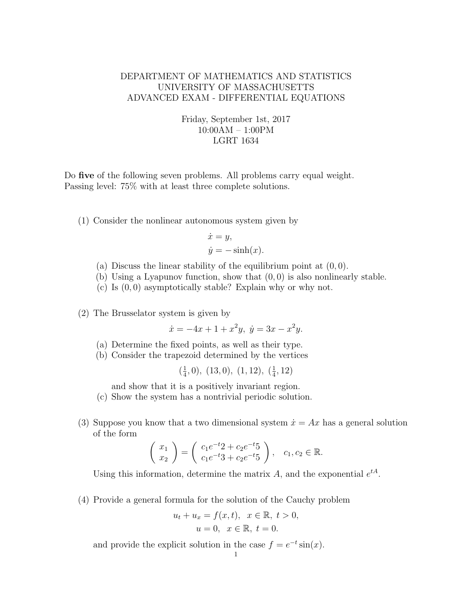## DEPARTMENT OF MATHEMATICS AND STATISTICS UNIVERSITY OF MASSACHUSETTS ADVANCED EXAM - DIFFERENTIAL EQUATIONS

## Friday, September 1st, 2017 10:00AM – 1:00PM LGRT 1634

Do five of the following seven problems. All problems carry equal weight. Passing level: 75% with at least three complete solutions.

(1) Consider the nonlinear autonomous system given by

$$
\dot{x} = y,
$$
  

$$
\dot{y} = -\sinh(x).
$$

- (a) Discuss the linear stability of the equilibrium point at  $(0, 0)$ .
- (b) Using a Lyapunov function, show that  $(0, 0)$  is also nonlinearly stable.
- (c) Is  $(0, 0)$  asymptotically stable? Explain why or why not.

(2) The Brusselator system is given by

 $\dot{x} = -4x + 1 + x^2y, \ \dot{y} = 3x - x^2y.$ 

- (a) Determine the fixed points, as well as their type.
- (b) Consider the trapezoid determined by the vertices

 $\left(\frac{1}{4}\right)$  $(\frac{1}{4}, 0), (13, 0), (1, 12), (\frac{1}{4})$  $\frac{1}{4}$ , 12)

and show that it is a positively invariant region.

- (c) Show the system has a nontrivial periodic solution.
- (3) Suppose you know that a two dimensional system  $\dot{x} = Ax$  has a general solution of the form

$$
\begin{pmatrix} x_1 \\ x_2 \end{pmatrix} = \begin{pmatrix} c_1 e^{-t} 2 + c_2 e^{-t} 5 \\ c_1 e^{-t} 3 + c_2 e^{-t} 5 \end{pmatrix}, \quad c_1, c_2 \in \mathbb{R}.
$$

Using this information, determine the matrix A, and the exponential  $e^{tA}$ .

(4) Provide a general formula for the solution of the Cauchy problem

$$
u_t + u_x = f(x, t), \ \ x \in \mathbb{R}, \ t > 0,
$$
  

$$
u = 0, \ \ x \in \mathbb{R}, \ t = 0.
$$

and provide the explicit solution in the case  $f = e^{-t} \sin(x)$ .